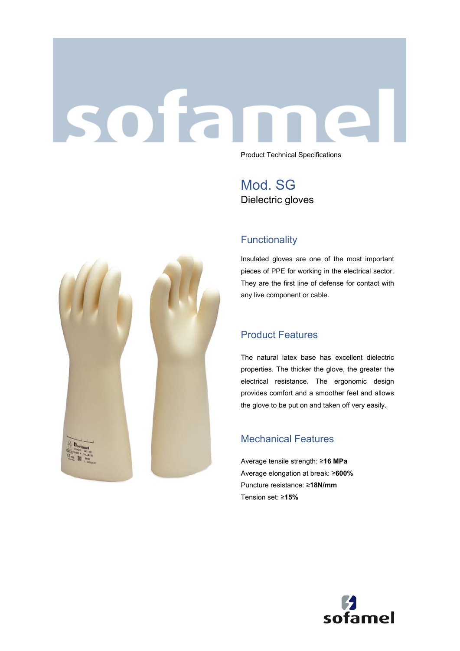# sofar Product Technical Specifications

Mod. SG Dielectric gloves



Insulated gloves are one of the most important pieces of PPE for working in the electrical sector. They are the first line of defense for contact with any live component or cable.

## Product Features

The natural latex base has excellent dielectric properties. The thicker the glove, the greater the electrical resistance. The ergonomic design provides comfort and a smoother feel and allows the glove to be put on and taken off very easily.

## Mechanical Features

Average tensile strength: ≥**16 MPa** Average elongation at break: ≥**600%** Puncture resistance: ≥**18N/mm** Tension set: ≥**15%**